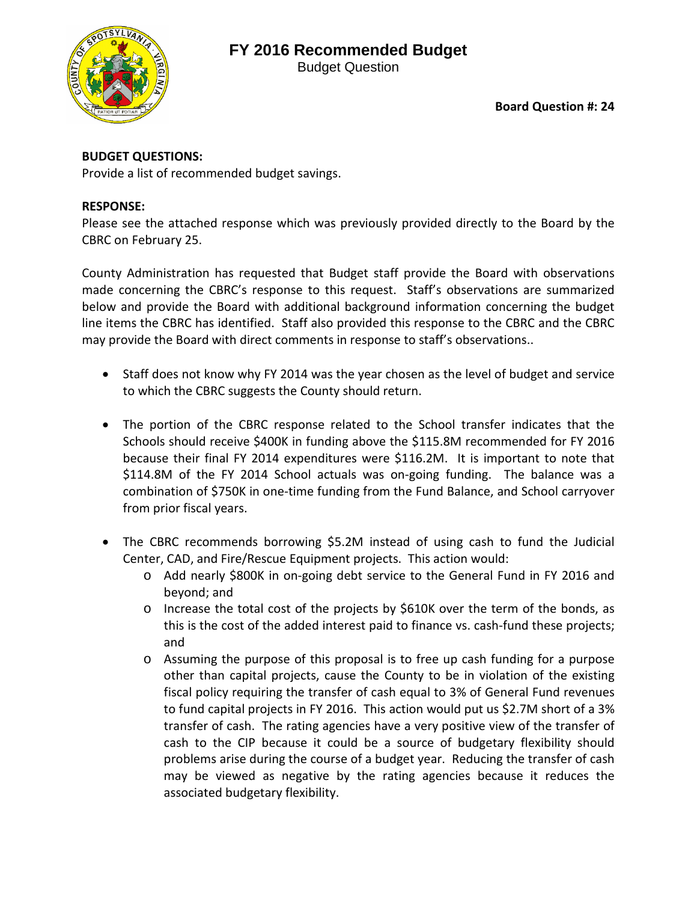## **FY 2016 Recommended Budget**



Budget Question

**Board Question #: 24**

### **BUDGET QUESTIONS:**

Provide a list of recommended budget savings.

#### **RESPONSE:**

Please see the attached response which was previously provided directly to the Board by the CBRC on February 25.

County Administration has requested that Budget staff provide the Board with observations made concerning the CBRC's response to this request. Staff's observations are summarized below and provide the Board with additional background information concerning the budget line items the CBRC has identified. Staff also provided this response to the CBRC and the CBRC may provide the Board with direct comments in response to staff's observations..

- Staff does not know why FY 2014 was the year chosen as the level of budget and service to which the CBRC suggests the County should return.
- The portion of the CBRC response related to the School transfer indicates that the Schools should receive \$400K in funding above the \$115.8M recommended for FY 2016 because their final FY 2014 expenditures were \$116.2M. It is important to note that \$114.8M of the FY 2014 School actuals was on-going funding. The balance was a combination of \$750K in one-time funding from the Fund Balance, and School carryover from prior fiscal years.
- The CBRC recommends borrowing \$5.2M instead of using cash to fund the Judicial Center, CAD, and Fire/Rescue Equipment projects. This action would:
	- o Add nearly \$800K in on-going debt service to the General Fund in FY 2016 and beyond; and
	- o Increase the total cost of the projects by \$610K over the term of the bonds, as this is the cost of the added interest paid to finance vs. cash-fund these projects; and
	- o Assuming the purpose of this proposal is to free up cash funding for a purpose other than capital projects, cause the County to be in violation of the existing fiscal policy requiring the transfer of cash equal to 3% of General Fund revenues to fund capital projects in FY 2016. This action would put us \$2.7M short of a 3% transfer of cash. The rating agencies have a very positive view of the transfer of cash to the CIP because it could be a source of budgetary flexibility should problems arise during the course of a budget year. Reducing the transfer of cash may be viewed as negative by the rating agencies because it reduces the associated budgetary flexibility.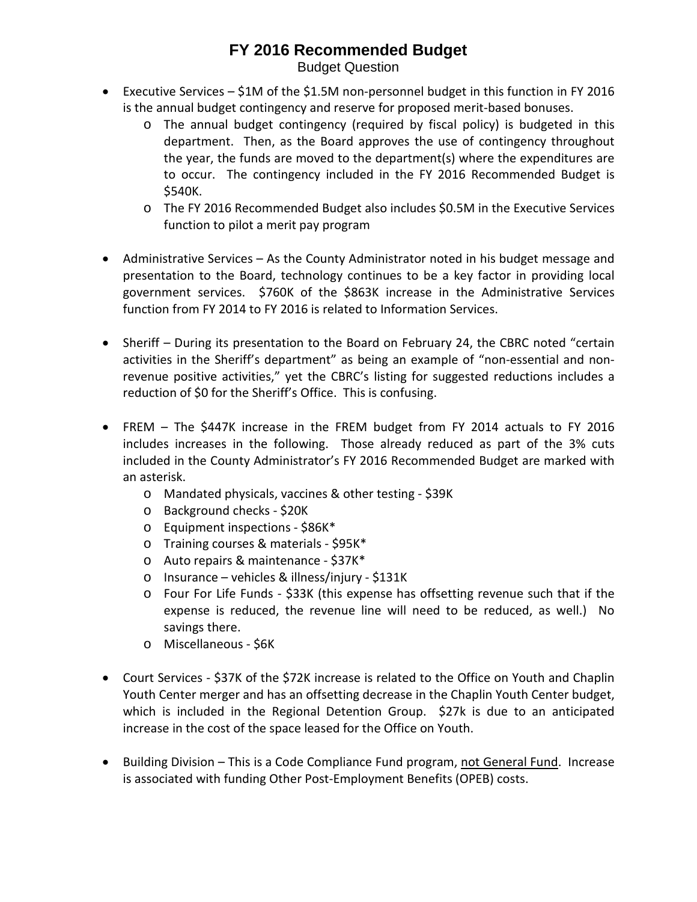# **FY 2016 Recommended Budget**

Budget Question

- Executive Services \$1M of the \$1.5M non-personnel budget in this function in FY 2016 is the annual budget contingency and reserve for proposed merit-based bonuses.
	- o The annual budget contingency (required by fiscal policy) is budgeted in this department. Then, as the Board approves the use of contingency throughout the year, the funds are moved to the department(s) where the expenditures are to occur. The contingency included in the FY 2016 Recommended Budget is \$540K.
	- o The FY 2016 Recommended Budget also includes \$0.5M in the Executive Services function to pilot a merit pay program
- Administrative Services As the County Administrator noted in his budget message and presentation to the Board, technology continues to be a key factor in providing local government services. \$760K of the \$863K increase in the Administrative Services function from FY 2014 to FY 2016 is related to Information Services.
- Sheriff During its presentation to the Board on February 24, the CBRC noted "certain activities in the Sheriff's department" as being an example of "non-essential and nonrevenue positive activities," yet the CBRC's listing for suggested reductions includes a reduction of \$0 for the Sheriff's Office. This is confusing.
- FREM The \$447K increase in the FREM budget from FY 2014 actuals to FY 2016 includes increases in the following. Those already reduced as part of the 3% cuts included in the County Administrator's FY 2016 Recommended Budget are marked with an asterisk.
	- o Mandated physicals, vaccines & other testing \$39K
	- o Background checks \$20K
	- o Equipment inspections \$86K\*
	- o Training courses & materials \$95K\*
	- o Auto repairs & maintenance \$37K\*
	- o Insurance vehicles & illness/injury \$131K
	- o Four For Life Funds \$33K (this expense has offsetting revenue such that if the expense is reduced, the revenue line will need to be reduced, as well.) No savings there.
	- o Miscellaneous \$6K
- Court Services \$37K of the \$72K increase is related to the Office on Youth and Chaplin Youth Center merger and has an offsetting decrease in the Chaplin Youth Center budget, which is included in the Regional Detention Group. \$27k is due to an anticipated increase in the cost of the space leased for the Office on Youth.
- Building Division This is a Code Compliance Fund program, not General Fund. Increase is associated with funding Other Post-Employment Benefits (OPEB) costs.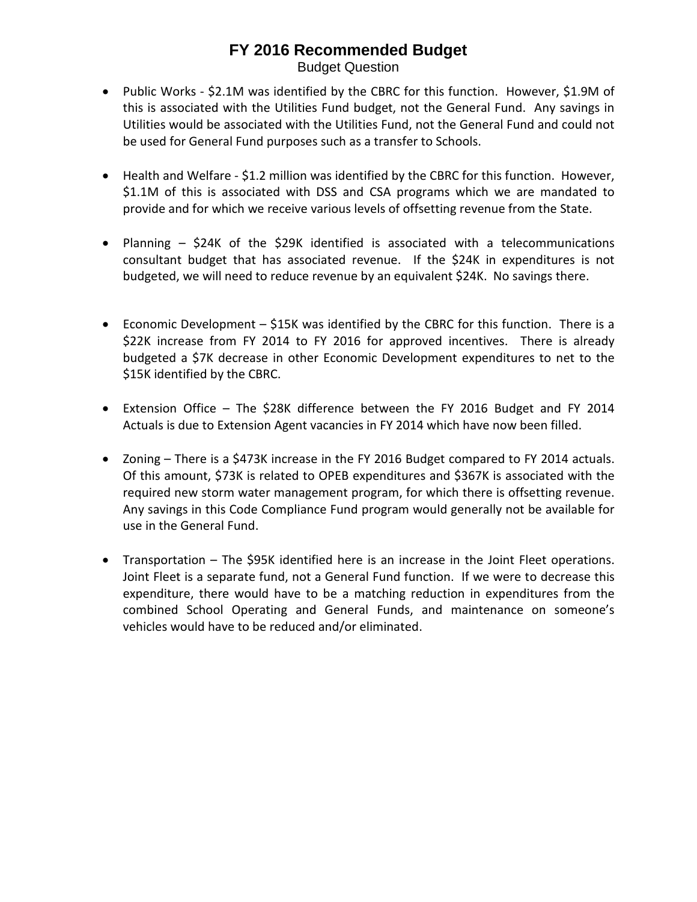### **FY 2016 Recommended Budget** Budget Question

- Public Works \$2.1M was identified by the CBRC for this function. However, \$1.9M of this is associated with the Utilities Fund budget, not the General Fund. Any savings in Utilities would be associated with the Utilities Fund, not the General Fund and could not be used for General Fund purposes such as a transfer to Schools.
- Health and Welfare \$1.2 million was identified by the CBRC for this function. However, \$1.1M of this is associated with DSS and CSA programs which we are mandated to provide and for which we receive various levels of offsetting revenue from the State.
- Planning \$24K of the \$29K identified is associated with a telecommunications consultant budget that has associated revenue. If the \$24K in expenditures is not budgeted, we will need to reduce revenue by an equivalent \$24K. No savings there.
- Economic Development \$15K was identified by the CBRC for this function. There is a \$22K increase from FY 2014 to FY 2016 for approved incentives. There is already budgeted a \$7K decrease in other Economic Development expenditures to net to the \$15K identified by the CBRC.
- Extension Office The \$28K difference between the FY 2016 Budget and FY 2014 Actuals is due to Extension Agent vacancies in FY 2014 which have now been filled.
- Zoning There is a \$473K increase in the FY 2016 Budget compared to FY 2014 actuals. Of this amount, \$73K is related to OPEB expenditures and \$367K is associated with the required new storm water management program, for which there is offsetting revenue. Any savings in this Code Compliance Fund program would generally not be available for use in the General Fund.
- Transportation The \$95K identified here is an increase in the Joint Fleet operations. Joint Fleet is a separate fund, not a General Fund function. If we were to decrease this expenditure, there would have to be a matching reduction in expenditures from the combined School Operating and General Funds, and maintenance on someone's vehicles would have to be reduced and/or eliminated.